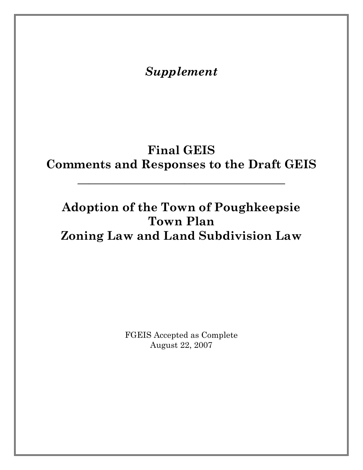*Supplement* 

## **Final GEIS Comments and Responses to the Draft GEIS**

**\_\_\_\_\_\_\_\_\_\_\_\_\_\_\_\_\_\_\_\_\_\_\_\_\_\_\_\_\_\_\_\_\_\_\_** 

## **Adoption of the Town of Poughkeepsie Town Plan Zoning Law and Land Subdivision Law**

FGEIS Accepted as Complete August 22, 2007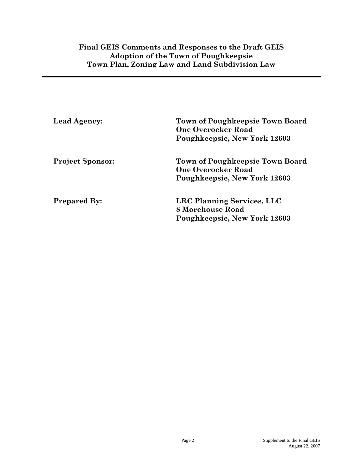### **Final GEIS Comments and Responses to the Draft GEIS Adoption of the Town of Poughkeepsie Town Plan, Zoning Law and Land Subdivision Law**

| <b>Lead Agency:</b>     | <b>Town of Poughkeepsie Town Board</b><br><b>One Overocker Road</b><br>Poughkeepsie, New York 12603 |
|-------------------------|-----------------------------------------------------------------------------------------------------|
| <b>Project Sponsor:</b> | <b>Town of Poughkeepsie Town Board</b><br><b>One Overocker Road</b><br>Poughkeepsie, New York 12603 |
| <b>Prepared By:</b>     | LRC Planning Services, LLC<br>8 Morehouse Road<br>Poughkeepsie, New York 12603                      |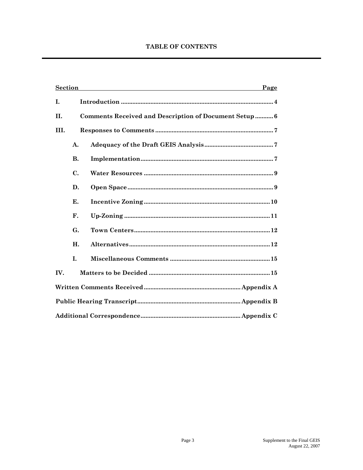### **TABLE OF CONTENTS**

| <b>Section</b> |           | Page                                                  |
|----------------|-----------|-------------------------------------------------------|
| I.             |           |                                                       |
| <b>II.</b>     |           | Comments Received and Description of Document Setup 6 |
| III.           |           |                                                       |
|                | A.        |                                                       |
|                | <b>B.</b> |                                                       |
|                | C.        |                                                       |
|                | D.        |                                                       |
|                | Е.        |                                                       |
|                | F.        |                                                       |
|                | G.        |                                                       |
|                | H.        |                                                       |
|                | T.        |                                                       |
| IV.            |           |                                                       |
|                |           |                                                       |
|                |           |                                                       |
|                |           |                                                       |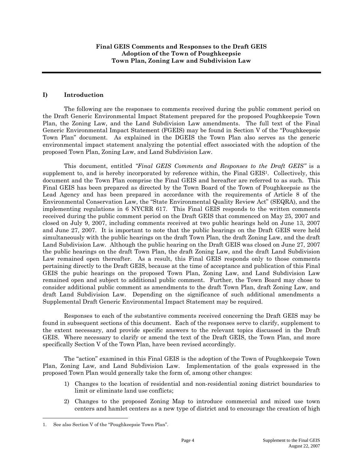#### **I) Introduction**

The following are the responses to comments received during the public comment period on the Draft Generic Environmental Impact Statement prepared for the proposed Poughkeepsie Town Plan, the Zoning Law, and the Land Subdivision Law amendments. The full text of the Final Generic Environmental Impact Statement (FGEIS) may be found in Section V of the "Poughkeepsie Town Plan" document. As explained in the DGEIS the Town Plan also serves as the generic environmental impact statement analyzing the potential effect associated with the adoption of the proposed Town Plan, Zoning Law, and Land Subdivision Law.

This document, entitled *"Final GEIS Comments and Responses to the Draft GEIS"* is a supplement to, and is hereby incorporated by reference within, the Final GEIS<sup>1</sup>. Collectively, this document and the Town Plan comprise the Final GEIS and hereafter are referred to as such. This Final GEIS has been prepared as directed by the Town Board of the Town of Poughkeepsie as the Lead Agency and has been prepared in accordance with the requirements of Article 8 of the Environmental Conservation Law, the "State Environmental Quality Review Act" (SEQRA), and the implementing regulations in 6 NYCRR 617. This Final GEIS responds to the written comments received during the public comment period on the Draft GEIS that commenced on May 25, 2007 and closed on July 9, 2007, including comments received at two public hearings held on June 13, 2007 and June 27, 2007. It is important to note that the public hearings on the Draft GEIS were held simultaneously with the public hearings on the draft Town Plan, the draft Zoning Law, and the draft Land Subdivision Law. Although the public hearing on the Draft GEIS was closed on June 27, 2007 the public hearings on the draft Town Plan, the draft Zoning Law, and the draft Land Subdivision Law remained open thereafter. As a result, this Final GEIS responds only to those comments pertaining directly to the Draft GEIS, because at the time of acceptance and publication of this Final GEIS the pubic hearings on the proposed Town Plan, Zoning Law, and Land Subdivision Law remained open and subject to additional public comment. Further, the Town Board may chose to consider additional public comment as amendments to the draft Town Plan, draft Zoning Law, and draft Land Subdivision Law. Depending on the significance of such additional amendments a Supplemental Draft Generic Environmental Impact Statement may be required.

Responses to each of the substantive comments received concerning the Draft GEIS may be found in subsequent sections of this document. Each of the responses serve to clarify, supplement to the extent necessary, and provide specific answers to the relevant topics discussed in the Draft GEIS. Where necessary to clarify or amend the text of the Draft GEIS, the Town Plan, and more specifically Section V of the Town Plan, have been revised accordingly.

The "action" examined in this Final GEIS is the adoption of the Town of Poughkeepsie Town Plan, Zoning Law, and Land Subdivision Law. Implementation of the goals expressed in the proposed Town Plan would generally take the form of, among other changes:

- 1) Changes to the location of residential and non-residential zoning district boundaries to limit or eliminate land use conflicts;
- 2) Changes to the proposed Zoning Map to introduce commercial and mixed use town centers and hamlet centers as a new type of district and to encourage the creation of high

 $\overline{a}$ 

<sup>1.</sup> See also Section V of the "Poughkeepsie Town Plan".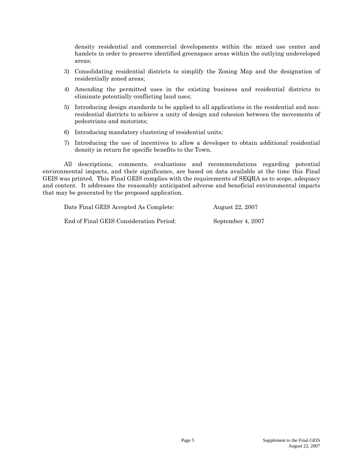density residential and commercial developments within the mixed use center and hamlets in order to preserve identified greenspace areas within the outlying undeveloped areas;

- 3) Consolidating residential districts to simplify the Zoning Map and the designation of residentially zoned areas;
- 4) Amending the permitted uses in the existing business and residential districts to eliminate potentially conflicting land uses;
- 5) Introducing design standards to be applied to all applications in the residential and nonresidential districts to achieve a unity of design and cohesion between the movements of pedestrians and motorists;
- 6) Introducing mandatory clustering of residential units;
- 7) Introducing the use of incentives to allow a developer to obtain additional residential density in return for specific benefits to the Town.

All descriptions, comments, evaluations and recommendations regarding potential environmental impacts, and their significance, are based on data available at the time this Final GEIS was printed. This Final GEIS complies with the requirements of SEQRA as to scope, adequacy and content. It addresses the reasonably anticipated adverse and beneficial environmental impacts that may be generated by the proposed application.

Date Final GEIS Accepted As Complete: August 22, 2007 End of Final GEIS Consideration Period: September 4, 2007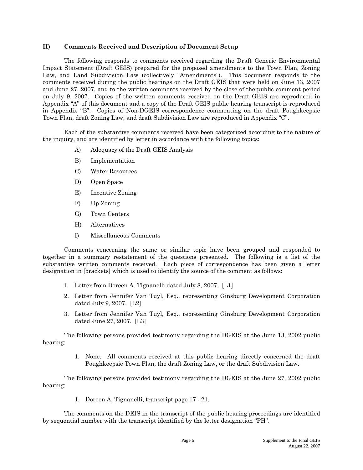#### **II) Comments Received and Description of Document Setup**

The following responds to comments received regarding the Draft Generic Environmental Impact Statement (Draft GEIS) prepared for the proposed amendments to the Town Plan, Zoning Law, and Land Subdivision Law (collectively "Amendments"). This document responds to the comments received during the public hearings on the Draft GEIS that were held on June 13, 2007 and June 27, 2007, and to the written comments received by the close of the public comment period on July 9, 2007. Copies of the written comments received on the Draft GEIS are reproduced in Appendix "A" of this document and a copy of the Draft GEIS public hearing transcript is reproduced in Appendix "B". Copies of Non-DGEIS correspondence commenting on the draft Poughkeepsie Town Plan, draft Zoning Law, and draft Subdivision Law are reproduced in Appendix "C".

Each of the substantive comments received have been categorized according to the nature of the inquiry, and are identified by letter in accordance with the following topics:

- A) Adequacy of the Draft GEIS Analysis
- B) Implementation
- C) Water Resources
- D) Open Space
- E) Incentive Zoning
- F) Up-Zoning
- G) Town Centers
- H) Alternatives
- I) Miscellaneous Comments

Comments concerning the same or similar topic have been grouped and responded to together in a summary restatement of the questions presented. The following is a list of the substantive written comments received. Each piece of correspondence has been given a letter designation in [brackets] which is used to identify the source of the comment as follows:

- 1. Letter from Doreen A. Tignanelli dated July 8, 2007. [L1]
- 2. Letter from Jennifer Van Tuyl, Esq., representing Ginsburg Development Corporation dated July 9, 2007. [L2]
- 3. Letter from Jennifer Van Tuyl, Esq., representing Ginsburg Development Corporation dated June 27, 2007. [L3]

The following persons provided testimony regarding the DGEIS at the June 13, 2002 public hearing:

> 1. None. All comments received at this public hearing directly concerned the draft Poughkeepsie Town Plan, the draft Zoning Law, or the draft Subdivision Law.

The following persons provided testimony regarding the DGEIS at the June 27, 2002 public hearing:

1. Doreen A. Tignanelli, transcript page 17 - 21.

The comments on the DEIS in the transcript of the public hearing proceedings are identified by sequential number with the transcript identified by the letter designation "PH".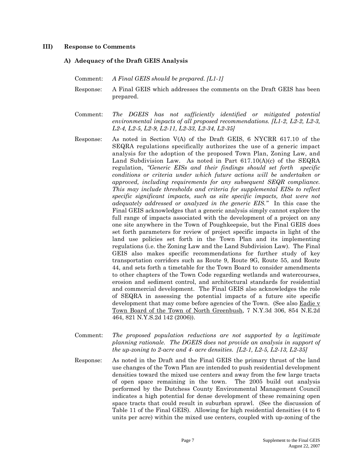#### **III) Response to Comments**

#### **A) Adequacy of the Draft GEIS Analysis**

- Comment: *A Final GEIS should be prepared. [L1-1]*
- Response: A Final GEIS which addresses the comments on the Draft GEIS has been prepared.
- Comment: *The DGEIS has not sufficiently identified or mitigated potential environmental impacts of all proposed recommendations. [L1-2, L2-2, L2-3, L2-4, L2-5, L2-9, L2-11, L2-33, L2-34, L2-35]*
- Response: As noted in Section V(A) of the Draft GEIS, 6 NYCRR 617.10 of the SEQRA regulations specifically authorizes the use of a generic impact analysis for the adoption of the proposed Town Plan, Zoning Law, and Land Subdivision Law. As noted in Part 617.10(A)(c) of the SEQRA regulation, *"Generic EISs and their findings should set forth specific conditions or criteria under which future actions will be undertaken or approved, including requirements for any subsequent SEQR compliance. This may include thresholds and criteria for supplemental EISs to reflect specific significant impacts, such as site specific impacts, that were not adequately addressed or analyzed in the generic EIS."* In this case the Final GEIS acknowledges that a generic analysis simply cannot explore the full range of impacts associated with the development of a project on any one site anywhere in the Town of Poughkeepsie, but the Final GEIS does set forth parameters for review of project specific impacts in light of the land use policies set forth in the Town Plan and its implementing regulations (i.e. the Zoning Law and the Land Subdivision Law). The Final GEIS also makes specific recommendations for further study of key transportation corridors such as Route 9, Route 9G, Route 55, and Route 44, and sets forth a timetable for the Town Board to consider amendments to other chapters of the Town Code regarding wetlands and watercourses, erosion and sediment control, and architectural standards for residential and commercial development. The Final GEIS also acknowledges the role of SEQRA in assessing the potential impacts of a future site specific development that may come before agencies of the Town. (See also Eadie v Town Board of the Town of North Greenbush, 7 N.Y.3d 306, 854 N.E.2d 464, 821 N.Y.S.2d 142 (2006)).
- Comment: *The proposed population reductions are not supported by a legitimate planning rationale. The DGEIS does not provide an analysis in support of the up-zoning to 2-acre and 4- acre densities. [L2-1, L2-5, L2-13, L2-35]*
- Response: As noted in the Draft and the Final GEIS the primary thrust of the land use changes of the Town Plan are intended to push residential development densities toward the mixed use centers and away from the few large tracts of open space remaining in the town. The 2005 build out analysis performed by the Dutchess County Environmental Management Council indicates a high potential for dense development of these remaining open space tracts that could result in suburban sprawl. (See the discussion of Table 11 of the Final GEIS). Allowing for high residential densities (4 to 6 units per acre) within the mixed use centers, coupled with up-zoning of the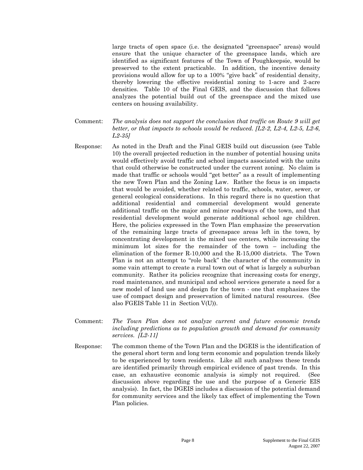large tracts of open space (i.e. the designated "greenspace" areas) would ensure that the unique character of the greenspace lands, which are identified as significant features of the Town of Poughkeepsie, would be preserved to the extent practicable. In addition, the incentive density provisions would allow for up to a 100% "give back" of residential density, thereby lowering the effective residential zoning to 1-acre and 2-acre densities. Table 10 of the Final GEIS, and the discussion that follows analyzes the potential build out of the greenspace and the mixed use centers on housing availability.

- Comment: *The analysis does not support the conclusion that traffic on Route 9 will get better, or that impacts to schools would be reduced. [L2-2, L2-4, L2-5, L2-6, L2-35]*
- Response: As noted in the Draft and the Final GEIS build out discussion (see Table 10) the overall projected reduction in the number of potential housing units would effectively avoid traffic and school impacts associated with the units that could otherwise be constructed under the current zoning. No claim is made that traffic or schools would "get better" as a result of implementing the new Town Plan and the Zoning Law. Rather the focus is on impacts that would be avoided, whether related to traffic, schools, water, sewer, or general ecological considerations. In this regard there is no question that additional residential and commercial development would generate additional traffic on the major and minor roadways of the town, and that residential development would generate additional school age children. Here, the policies expressed in the Town Plan emphasize the preservation of the remaining large tracts of greenspace areas left in the town, by concentrating development in the mixed use centers, while increasing the minimum lot sizes for the remainder of the town – including the elimination of the former R-10,000 and the R-15,000 districts. The Town Plan is not an attempt to "role back" the character of the community in some vain attempt to create a rural town out of what is largely a suburban community. Rather its policies recognize that increasing costs for energy, road maintenance, and municipal and school services generate a need for a new model of land use and design for the town - one that emphasizes the use of compact design and preservation of limited natural resources. (See also FGEIS Table 11 in Section V(U)).
- Comment: *The Town Plan does not analyze current and future economic trends including predictions as to population growth and demand for community services. [L2-11]*
- Response: The common theme of the Town Plan and the DGEIS is the identification of the general short term and long term economic and population trends likely to be experienced by town residents. Like all such analyses these trends are identified primarily through empirical evidence of past trends. In this case, an exhaustive economic analysis is simply not required. (See discussion above regarding the use and the purpose of a Generic EIS analysis). In fact, the DGEIS includes a discussion of the potential demand for community services and the likely tax effect of implementing the Town Plan policies.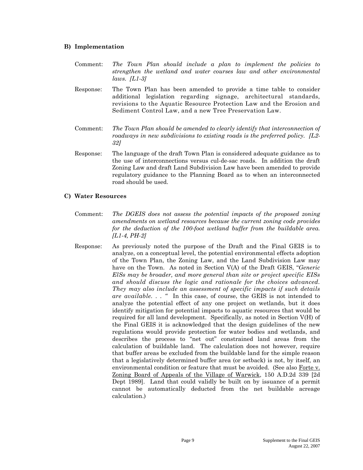#### **B) Implementation**

Comment: *The Town Plan should include a plan to implement the policies to strengthen the wetland and water courses law and other environmental laws. [L1-3]* 

- Response: The Town Plan has been amended to provide a time table to consider additional legislation regarding signage, architectural standards, revisions to the Aquatic Resource Protection Law and the Erosion and Sediment Control Law, and a new Tree Preservation Law.
- Comment: *The Town Plan should be amended to clearly identify that interconnection of roadways in new subdivisions to existing roads is the preferred policy. [L2- 32]*
- Response: The language of the draft Town Plan is considered adequate guidance as to the use of interconnections versus cul-de-sac roads. In addition the draft Zoning Law and draft Land Subdivision Law have been amended to provide regulatory guidance to the Planning Board as to when an interconnected road should be used.

#### **C) Water Resources**

- Comment: *The DGEIS does not assess the potential impacts of the proposed zoning amendments on wetland resources because the current zoning code provides for the deduction of the 100-foot wetland buffer from the buildable area. [L1-4, PH-2]*
- Response: As previously noted the purpose of the Draft and the Final GEIS is to analyze, on a conceptual level, the potential environmental effects adoption of the Town Plan, the Zoning Law, and the Land Subdivision Law may have on the Town. As noted in Section V(A) of the Draft GEIS, "*Generic ElSs may be broader, and more general than site or project specific EISs and should discuss the logic and rationale for the choices advanced. They may also include an assessment of specific impacts if such details are available. . . "* In this case, of course, the GEIS is not intended to analyze the potential effect of any one project on wetlands, but it does identify mitigation for potential impacts to aquatic resources that would be required for all land development. Specifically, as noted in Section V(H) of the Final GEIS it is acknowledged that the design guidelines of the new regulations would provide protection for water bodies and wetlands, and describes the process to "net out" constrained land areas from the calculation of buildable land. The calculation does not however, require that buffer areas be excluded from the buildable land for the simple reason that a legislatively determined buffer area (or setback) is not, by itself, an environmental condition or feature that must be avoided. (See also Forte v. Zoning Board of Appeals of the Village of Warwick, 150 A.D.2d 339 [2d Dept 1989]. Land that could validly be built on by issuance of a permit cannot be automatically deducted from the net buildable acreage calculation.)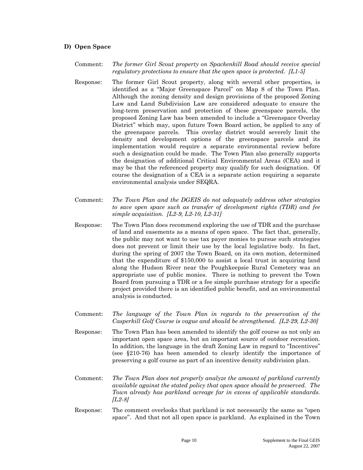#### **D) Open Space**

Comment: *The former Girl Scout property on Spackenkill Road should receive special regulatory protections to ensure that the open space is protected. [L1-5]* 

- Response: The former Girl Scout property, along with several other properties, is identified as a "Major Greenspace Parcel" on Map 8 of the Town Plan. Although the zoning density and design provisions of the proposed Zoning Law and Land Subdivision Law are considered adequate to ensure the long-term preservation and protection of these greenspace parcels, the proposed Zoning Law has been amended to include a "Greenspace Overlay District" which may, upon future Town Board action, be applied to any of the greenspace parcels. This overlay district would severely limit the density and development options of the greenspace parcels and its implementation would require a separate environmental review before such a designation could be made. The Town Plan also generally supports the designation of additional Critical Environmental Areas (CEA) and it may be that the referenced property may qualify for such designation. Of course the designation of a CEA is a separate action requiring a separate environmental analysis under SEQRA.
- Comment: *The Town Plan and the DGEIS do not adequately address other strategies to save open space such as transfer of development rights (TDR) and fee simple acquisition. [L2-9, L2-10, L2-31]*
- Response: The Town Plan does recommend exploring the use of TDR and the purchase of land and easements as a means of open space. The fact that, generally, the public may not want to use tax payer monies to pursue such strategies does not prevent or limit their use by the local legislative body. In fact, during the spring of 2007 the Town Board, on its own motion, determined that the expenditure of \$150,000 to assist a local trust in acquiring land along the Hudson River near the Poughkeepsie Rural Cemetery was an appropriate use of public monies. There is nothing to prevent the Town Board from pursuing a TDR or a fee simple purchase strategy for a specific project provided there is an identified public benefit, and an environmental analysis is conducted.
- Comment: *The language of the Town Plan in regards to the preservation of the Casperkill Golf Course is vague and should be strengthened. [L2-29, L2-30]*
- Response: The Town Plan has been amended to identify the golf course as not only an important open space area, but an important source of outdoor recreation. In addition, the language in the draft Zoning Law in regard to "Incentives" (see §210-76) has been amended to clearly identify the importance of preserving a golf course as part of an incentive density subdivision plan.
- Comment: *The Town Plan does not properly analyze the amount of parkland currently available against the stated policy that open space should be preserved. The Town already has parkland acreage far in excess of applicable standards. [L2-8]*
- Response: The comment overlooks that parkland is not necessarily the same as "open space". And that not all open space is parkland. As explained in the Town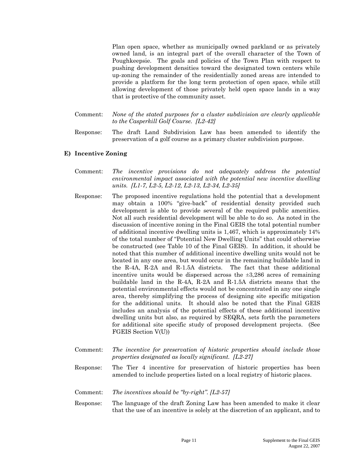Plan open space, whether as municipally owned parkland or as privately owned land, is an integral part of the overall character of the Town of Poughkeepsie. The goals and policies of the Town Plan with respect to pushing development densities toward the designated town centers while up-zoning the remainder of the residentially zoned areas are intended to provide a platform for the long term protection of open space, while still allowing development of those privately held open space lands in a way that is protective of the community asset.

- Comment: *None of the stated purposes for a cluster subdivision are clearly applicable to the Casperkill Golf Course. [L2-42]*
- Response: The draft Land Subdivision Law has been amended to identify the preservation of a golf course as a primary cluster subdivision purpose.

#### **E) Incentive Zoning**

- Comment: *The incentive provisions do not adequately address the potential environmental impact associated with the potential new incentive dwelling units. [L1-7, L2-5, L2-12, L2-13, L2-34, L2-35]*
- Response: The proposed incentive regulations hold the potential that a development may obtain a 100% "give-back" of residential density provided such development is able to provide several of the required public amenities. Not all such residential development will be able to do so. As noted in the discussion of incentive zoning in the Final GEIS the total potential number of additional incentive dwelling units is 1,467, which is approximately 14% of the total number of "Potential New Dwelling Units" that could otherwise be constructed (see Table 10 of the Final GEIS). In addition, it should be noted that this number of additional incentive dwelling units would not be located in any one area, but would occur in the remaining buildable land in the R-4A, R-2A and R-1.5A districts. The fact that these additional incentive units would be dispersed across the  $\pm 3,286$  acres of remaining buildable land in the R-4A, R-2A and R-1.5A districts means that the potential environmental effects would not be concentrated in any one single area, thereby simplifying the process of designing site specific mitigation for the additional units. It should also be noted that the Final GEIS includes an analysis of the potential effects of these additional incentive dwelling units but also, as required by SEQRA, sets forth the parameters for additional site specific study of proposed development projects. (See FGEIS Section V(U))
- Comment: *The incentive for preservation of historic properties should include those properties designated as locally significant. [L2-27]*
- Response: The Tier 4 incentive for preservation of historic properties has been amended to include properties listed on a local registry of historic places.
- Comment: *The incentives should be "by-right". [L2-57]*
- Response: The language of the draft Zoning Law has been amended to make it clear that the use of an incentive is solely at the discretion of an applicant, and to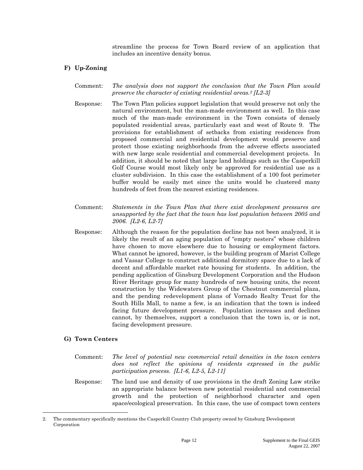streamline the process for Town Board review of an application that includes an incentive density bonus.

#### **F) Up-Zoning**

- Comment: *The analysis does not support the conclusion that the Town Plan would preserve the character of existing residential areas.2 [L2-3]*
- Response: The Town Plan policies support legislation that would preserve not only the natural environment, but the man-made environment as well. In this case much of the man-made environment in the Town consists of densely populated residential areas, particularly east and west of Route 9. The provisions for establishment of setbacks from existing residences from proposed commercial and residential development would preserve and protect those existing neighborhoods from the adverse effects associated with new large scale residential and commercial development projects. In addition, it should be noted that large land holdings such as the Casperkill Golf Course would most likely only be approved for residential use as a cluster subdivision. In this case the establishment of a 100 foot perimeter buffer would be easily met since the units would be clustered many hundreds of feet from the nearest existing residences.
- Comment: *Statements in the Town Plan that there exist development pressures are unsupported by the fact that the town has lost population between 2005 and 2006. [L2-6, L2-7]*
- Response: Although the reason for the population decline has not been analyzed, it is likely the result of an aging population of "empty nesters" whose children have chosen to move elsewhere due to housing or employment factors. What cannot be ignored, however, is the building program of Marist College and Vassar College to construct additional dormitory space due to a lack of decent and affordable market rate housing for students. In addition, the pending application of Ginsburg Development Corporation and the Hudson River Heritage group for many hundreds of new housing units, the recent construction by the Widewaters Group of the Chestnut commercial plaza, and the pending redevelopment plans of Vornado Realty Trust for the South Hills Mall, to name a few, is an indication that the town is indeed facing future development pressure. Population increases and declines cannot, by themselves, support a conclusion that the town is, or is not, facing development pressure.

#### **G) Town Centers**

 $\overline{a}$ 

- Comment: *The level of potential new commercial retail densities in the town centers does not reflect the opinions of residents expressed in the public participation process. [L1-6, L2-5, L2-11]*
- Response: The land use and density of use provisions in the draft Zoning Law strike an appropriate balance between new potential residential and commercial growth and the protection of neighborhood character and open space/ecological preservation. In this case, the use of compact town centers

<sup>2.</sup> The commentary specifically mentions the Casperkill Country Club property owned by Ginsburg Development Corporation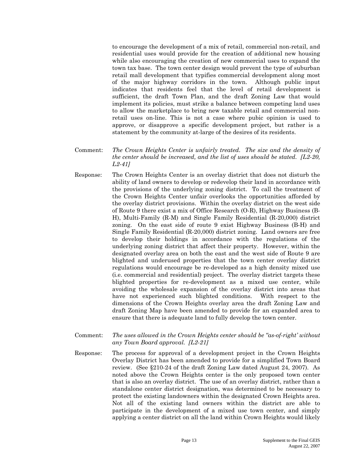to encourage the development of a mix of retail, commercial non-retail, and residential uses would provide for the creation of additional new housing while also encouraging the creation of new commercial uses to expand the town tax base. The town center design would prevent the type of suburban retail mall development that typifies commercial development along most of the major highway corridors in the town. Although public input indicates that residents feel that the level of retail development is sufficient, the draft Town Plan, and the draft Zoning Law that would implement its policies, must strike a balance between competing land uses to allow the marketplace to bring new taxable retail and commercial nonretail uses on-line. This is not a case where pubic opinion is used to approve, or disapprove a specific development project, but rather is a statement by the community at-large of the desires of its residents.

- Comment: *The Crown Heights Center is unfairly treated. The size and the density of the center should be increased, and the list of uses should be stated. [L2-20, L2-41]*
- Response: The Crown Heights Center is an overlay district that does not disturb the ability of land owners to develop or redevelop their land in accordance with the provisions of the underlying zoning district. To call the treatment of the Crown Heights Center unfair overlooks the opportunities afforded by the overlay district provisions. Within the overlay district on the west side of Route 9 there exist a mix of Office Research (O-R), Highway Business (B-H), Multi-Family (R-M) and Single Family Residential (R-20,000) district zoning. On the east side of route 9 exist Highway Business (B-H) and Single Family Residential (R-20,000) district zoning. Land owners are free to develop their holdings in accordance with the regulations of the underlying zoning district that affect their property. However, within the designated overlay area on both the east and the west side of Route 9 are blighted and underused properties that the town center overlay district regulations would encourage be re-developed as a high density mixed use (i.e. commercial and residential) project. The overlay district targets these blighted properties for re-development as a mixed use center, while avoiding the wholesale expansion of the overlay district into areas that have not experienced such blighted conditions. With respect to the dimensions of the Crown Heights overlay area the draft Zoning Law and draft Zoning Map have been amended to provide for an expanded area to ensure that there is adequate land to fully develop the town center.
- Comment: *The uses allowed in the Crown Heights center should be "as-of-right' without any Town Board approval. [L2-21]*
- Response: The process for approval of a development project in the Crown Heights Overlay District has been amended to provide for a simplified Town Board review. (See §210-24 of the draft Zoning Law dated August 24, 2007). As noted above the Crown Heights center is the only proposed town center that is also an overlay district. The use of an overlay district, rather than a standalone center district designation, was determined to be necessary to protect the existing landowners within the designated Crown Heights area. Not all of the existing land owners within the district are able to participate in the development of a mixed use town center, and simply applying a center district on all the land within Crown Heights would likely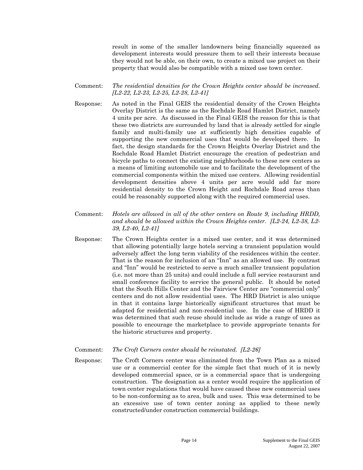result in some of the smaller landowners being financially squeezed as development interests would pressure them to sell their interests because they would not be able, on their own, to create a mixed use project on their property that would also be compatible with a mixed use town center.

#### Comment: *The residential densities for the Crown Heights center should be increased. [L2-22, L2-23, L2-25, L2-28, L2-41]*

- Response: As noted in the Final GEIS the residential density of the Crown Heights Overlay District is the same as the Rochdale Road Hamlet District, namely 4 units per acre. As discussed in the Final GEIS the reason for this is that these two districts are surrounded by land that is already settled for single family and multi-family use at sufficiently high densities capable of supporting the new commercial uses that would be developed there. In fact, the design standards for the Crown Heights Overlay District and the Rochdale Road Hamlet District encourage the creation of pedestrian and bicycle paths to connect the existing neighborhoods to these new centers as a means of limiting automobile use and to facilitate the development of the commercial components within the mixed use centers. Allowing residential development densities above 4 units per acre would add far more residential density to the Crown Height and Rochdale Road areas than could be reasonably supported along with the required commercial uses.
- Comment: *Hotels are allowed in all of the other centers on Route 9, including HRDD, and should be allowed within the Crown Heights center. [L2-24, L2-38, L2- 39, L2-40, L2-41]*
- Response: The Crown Heights center is a mixed use center, and it was determined that allowing potentially large hotels serving a transient population would adversely affect the long term viability of the residences within the center. That is the reason for inclusion of an "Inn" as an allowed use. By contrast and "Inn" would be restricted to serve a much smaller transient population (i.e. not more than 25 units) and could include a full service restaurant and small conference facility to service the general public. It should be noted that the South Hills Center and the Fairview Center are "commercial only" centers and do not allow residential uses. The HRD District is also unique in that it contains large historically significant structures that must be adapted for residential and non-residential use. In the case of HRDD it was determined that such reuse should include as wide a range of uses as possible to encourage the marketplace to provide appropriate tenants for the historic structures and property.

#### Comment: *The Croft Corners center should be reinstated. [L2-26]*

Response: The Croft Corners center was eliminated from the Town Plan as a mixed use or a commercial center for the simple fact that much of it is newly developed commercial space, or is a commercial space that is undergoing construction. The designation as a center would require the application of town center regulations that would have caused these new commercial uses to be non-conforming as to area, bulk and uses. This was determined to be an excessive use of town center zoning as applied to these newly constructed/under construction commercial buildings.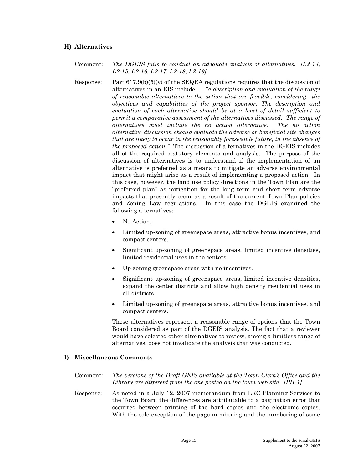#### **H) Alternatives**

- Comment: *The DGEIS fails to conduct an adequate analysis of alternatives. [L2-14, L2-15, L2-16, L2-17, L2-18, L2-19]*
- Response: Part 617.9(b)(5)(v) of the SEQRA regulations requires that the discussion of alternatives in an EIS include . . *."a description and evaluation of the range of reasonable alternatives to the action that are feasible, considering the objectives and capabilities of the project sponsor. The description and evaluation of each alternative should be at a level of detail sufficient to permit a comparative assessment of the alternatives discussed. The range of alternatives must include the no action alternative. The no action alternative discussion should evaluate the adverse or beneficial site changes that are likely to occur in the reasonably foreseeable future, in the absence of the proposed action."* The discussion of alternatives in the DGEIS includes all of the required statutory elements and analysis. The purpose of the discussion of alternatives is to understand if the implementation of an alternative is preferred as a means to mitigate an adverse environmental impact that might arise as a result of implementing a proposed action. In this case, however, the land use policy directions in the Town Plan are the "preferred plan" as mitigation for the long term and short term adverse impacts that presently occur as a result of the current Town Plan policies and Zoning Law regulations. In this case the DGEIS examined the following alternatives:
	- No Action.
	- Limited up-zoning of greenspace areas, attractive bonus incentives, and compact centers.
	- Significant up-zoning of greenspace areas, limited incentive densities, limited residential uses in the centers.
	- Up-zoning greenspace areas with no incentives.
	- Significant up-zoning of greenspace areas, limited incentive densities, expand the center districts and allow high density residential uses in all districts.
	- Limited up-zoning of greenspace areas, attractive bonus incentives, and compact centers.

These alternatives represent a reasonable range of options that the Town Board considered as part of the DGEIS analysis. The fact that a reviewer would have selected other alternatives to review, among a limitless range of alternatives, does not invalidate the analysis that was conducted.

#### **I) Miscellaneous Comments**

Comment: *The versions of the Draft GEIS available at the Town Clerk's Office and the Library are different from the one posted on the town web site. [PH-1]* 

Response: As noted in a July 12, 2007 memorandum from LRC Planning Services to the Town Board the differences are attributable to a pagination error that occurred between printing of the hard copies and the electronic copies. With the sole exception of the page numbering and the numbering of some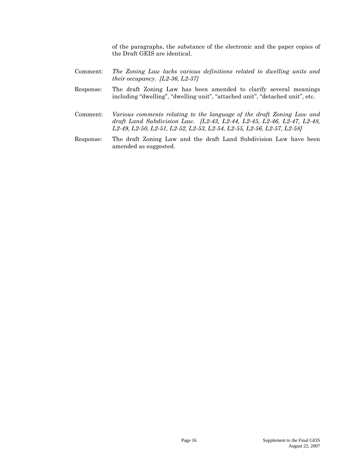of the paragraphs, the substance of the electronic and the paper copies of the Draft GEIS are identical.

- Comment: *The Zoning Law lacks various definitions related to dwelling units and their occupancy. [L2-36, L2-37]*
- Response: The draft Zoning Law has been amended to clarify several meanings including "dwelling", "dwelling unit", "attached unit", "detached unit", etc.
- Comment: *Various comments relating to the language of the draft Zoning Law and draft Land Subdivision Law. [L2-43, L2-44, L2-45, L2-46, L2-47, L2-48, L2-49, L2-50, L2-51, L2-52, L2-53, L2-54, L2-55, L2-56, L2-57, L2-58]*
- Response: The draft Zoning Law and the draft Land Subdivision Law have been amended as suggested.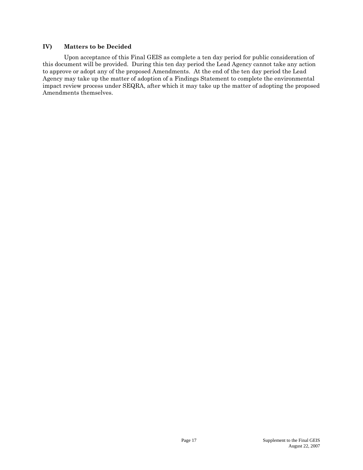#### **IV) Matters to be Decided**

Upon acceptance of this Final GEIS as complete a ten day period for public consideration of this document will be provided. During this ten day period the Lead Agency cannot take any action to approve or adopt any of the proposed Amendments. At the end of the ten day period the Lead Agency may take up the matter of adoption of a Findings Statement to complete the environmental impact review process under SEQRA, after which it may take up the matter of adopting the proposed Amendments themselves.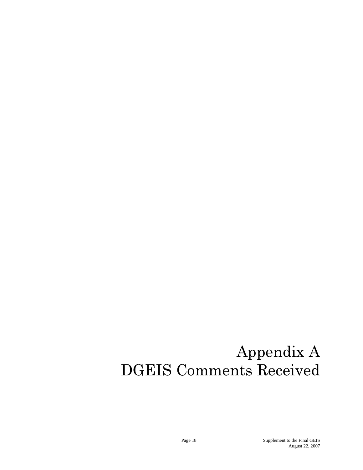# Appendix A DGEIS Comments Received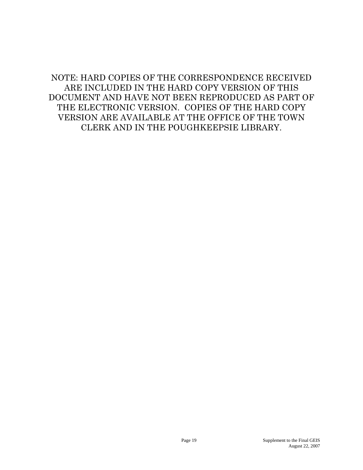NOTE: HARD COPIES OF THE CORRESPONDENCE RECEIVED ARE INCLUDED IN THE HARD COPY VERSION OF THIS DOCUMENT AND HAVE NOT BEEN REPRODUCED AS PART OF THE ELECTRONIC VERSION. COPIES OF THE HARD COPY VERSION ARE AVAILABLE AT THE OFFICE OF THE TOWN CLERK AND IN THE POUGHKEEPSIE LIBRARY.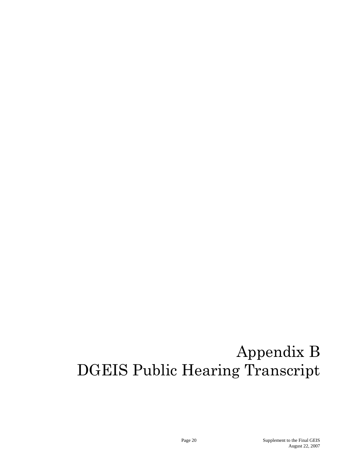# Appendix B DGEIS Public Hearing Transcript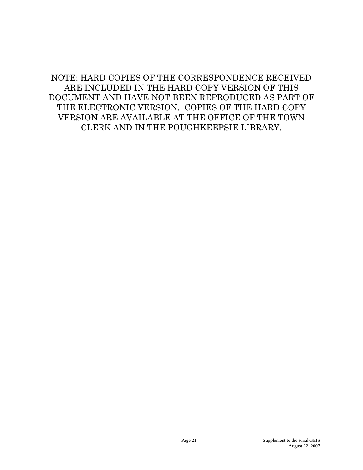NOTE: HARD COPIES OF THE CORRESPONDENCE RECEIVED ARE INCLUDED IN THE HARD COPY VERSION OF THIS DOCUMENT AND HAVE NOT BEEN REPRODUCED AS PART OF THE ELECTRONIC VERSION. COPIES OF THE HARD COPY VERSION ARE AVAILABLE AT THE OFFICE OF THE TOWN CLERK AND IN THE POUGHKEEPSIE LIBRARY.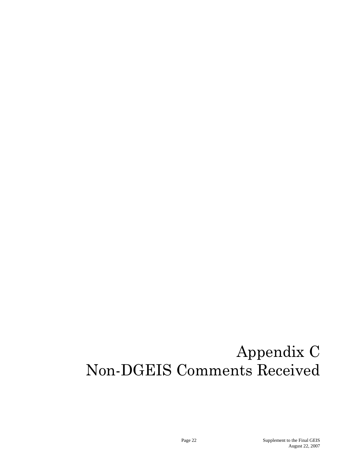## Appendix C Non-DGEIS Comments Received